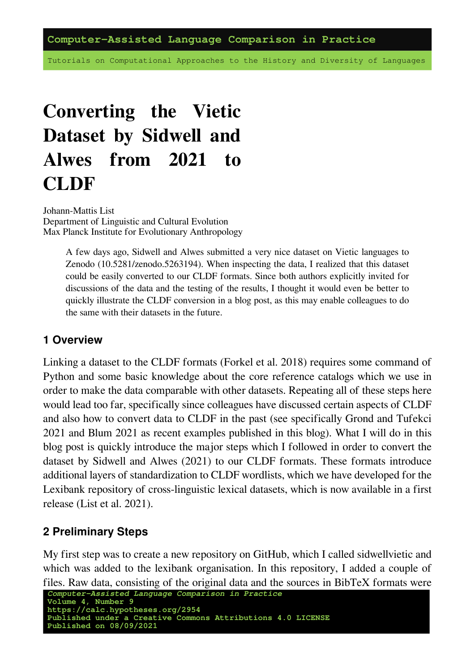**Computer-Assisted Language Comparison in Practice**

Tutorials on Computational Approaches to the History and Diversity of Languages

# **Converting the Vietic Dataset by Sidwell and Alwes from 2021 to CLDF**

Johann-Mattis List Department of Linguistic and Cultural Evolution Max Planck Institute for Evolutionary Anthropology

> A few days ago, Sidwell and Alwes submitted a very nice dataset on Vietic languages to Zenodo([10.5281/zenodo.5263194](https://doi.org/10.5281/zenodo.5263194)). When inspecting the data, I realized that this dataset could be easily converted to our CLDF formats. Since both authors explicitly invited for discussions of the data and the testing of the results, I thought it would even be better to quickly illustrate the CLDF conversion in a blog post, as this may enable colleagues to do the same with their datasets in the future.

#### **1 Overview**

Linking a dataset to the CLDF formats([Forkel et al. 2018](https://digling.org/evobib/?bibtex=Forkel2018a)) requires some command of Python and some basic knowledge about the core reference catalogs which we use in order to make the data comparable with other datasets. Repeating all of these steps here would lead too far, specifically since colleagues have discussed certain aspects of CLDF and also how to convert data to CLDF in the past (see specifically [Grond and Tüfekci](https://digling.org/evobib/?bibtex=Grond2021) [2021](https://digling.org/evobib/?bibtex=Grond2021) and [Blum 2021](https://digling.org/evobib/?bibtex=Blum2021) as recent examples published in this blog). What I will do in this blog post is quickly introduce the major steps which I followed in order to convert the dataset by Sidwell and Alwes [\(2021](https://digling.org/evobib/?bibtex=Sidwell2021)) to our CLDF formats. These formats introduce additional layers of standardization to CLDF wordlists, which we have developed for the Lexibank repository of cross-linguistic lexical datasets, which is now available in a first release([List et al. 2021](https://digling.org/evobib/?bibtex=List2021PREPRINTd)).

#### **2 Preliminary Steps**

My first step was to create a new repository on GitHub, which I called sidwellvietic and which was added to the lexibank organisation. In this repository, I added a couple of files. Raw data, consisting of the original data and the sources in BibTeX formats were

```
Computer-Assisted Language Comparison in Practice
Volume 4, Number 9
https://calc.hypotheses.org/2954
Published under a Creative Commons Attributions 4.0 LICENSE
Published on 08/09/2021
```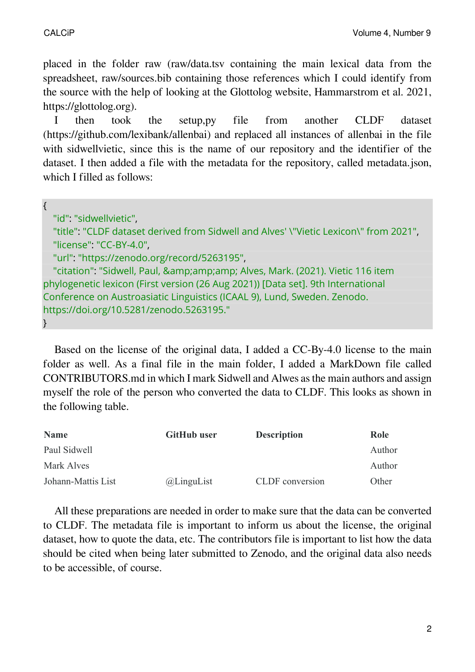placed in the folder raw (raw/data.tsv containing the main lexical data from the spreadsheet, raw/sources.bib containing those references which I could identify from the source with the help of looking at the Glottolog website, [Hammarström et al. 2021,](https://digling.org/evobib/?bibtex=Glottolog) [https://glottolog.org\)](https://glottolog.org/).

I then took the setup,py file from another CLDF dataset (https://github.com/lexibank/allenbai) and replaced all instances of allenbai in the file with sidwellvietic, since this is the name of our repository and the identifier of the dataset. I then added a file with the metadata for the repository, called metadata.json, which I filled as follows:

| "id": "sidwellvietic",                                                                |
|---------------------------------------------------------------------------------------|
| "title": "CLDF dataset derived from Sidwell and Alves' \"Vietic Lexicon\" from 2021", |
| "license": "CC-BY-4.0",                                                               |
| "url": "https://zenodo.org/record/5263195",                                           |
| "citation": "Sidwell, Paul, & Alves, Mark. (2021). Vietic 116 item                    |
| phylogenetic lexicon (First version (26 Aug 2021)) [Data set]. 9th International      |
| Conference on Austroasiatic Linguistics (ICAAL 9), Lund, Sweden. Zenodo.              |
| https://doi.org/10.5281/zenodo.5263195."                                              |
| $\}$                                                                                  |

Based on the license of the original data, I added a CC-By-4.0 license to the main folder as well. As a final file in the main folder, I added a MarkDown file called CONTRIBUTORS.md in which I mark Sidwell and Alwes as the main authors and assign myself the role of the person who converted the data to CLDF. This looks as shown in the following table.

| <b>Name</b>        | <b>GitHub user</b> | <b>Description</b> | Role   |
|--------------------|--------------------|--------------------|--------|
| Paul Sidwell       |                    |                    | Author |
| Mark Alves         |                    |                    | Author |
| Johann-Mattis List | @LinguList         | CLDF conversion    | Other  |

All these preparations are needed in order to make sure that the data can be converted to CLDF. The metadata file is important to inform us about the license, the original dataset, how to quote the data, etc. The contributors file is important to list how the data should be cited when being later submitted to Zenodo, and the original data also needs to be accessible, of course.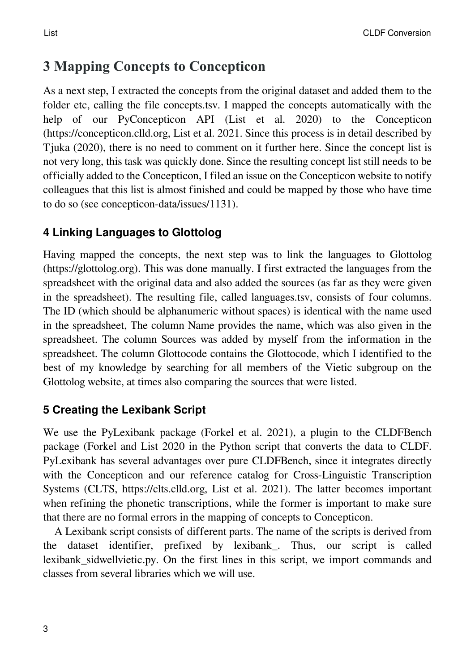# **3 Mapping Concepts to Concepticon**

As a next step, I extracted the concepts from the original dataset and added them to the folder etc, calling the file [concepts.tsv.](https://github.com/lexibank/sidwellvietic/blob/main/etc/concepts.tsv) I mapped the concepts automatically with the help of our PyConcepticon API([List et al. 2020\)](https://digling.org/evobib/?bibtex=PyConcepticon) to the Concepticon (https://concepticon.clld.org, [List et al. 2021.](https://digling.org/evobib/?bibtex=Concepticon) Since this process is in detail described by [Tjuka \(2020\)](https://digling.org/evobib/?bibtex=Tjuka2020TBLOG1), there is no need to comment on it further here. Since the concept list is not very long, this task was quickly done. Since the resulting concept list still needs to be officially added to the Concepticon, I filed an issue on the Concepticon website to notify colleagues that this list is almost finished and could be mapped by those who have time to do so (see [concepticon-data/issues/1131\)](https://github.com/concepticon/concepticon-data/issues/1131).

### **4 Linking Languages to Glottolog**

Having mapped the concepts, the next step was to link the languages to Glottolog (https://glottolog.org). This was done manually. I first extracted the languages from the spreadsheet with the original data and also added the sources (as far as they were given in the spreadsheet). The resulting file, called [languages.tsv](https://github.com/lexibank/sidwellvietic/blob/main/etc/languages.tsv), consists of four columns. The ID (which should be alphanumeric without spaces) is identical with the name used in the spreadsheet, The column Name provides the name, which was also given in the spreadsheet. The column Sources was added by myself from the information in the spreadsheet. The column Glottocode contains the Glottocode, which I identified to the best of my knowledge by searching for all members of the Vietic subgroup on the Glottolog website, at times also comparing the sources that were listed.

### **5 Creating the Lexibank Script**

We use the PyLexibank package([Forkel et al. 2021\)](https://digling.org/evobib/?bibtex=PyLexibank), a plugin to the CLDFBench package [\(Forkel and List 2020](https://digling.org/evobib/?bibtex=Forkel2020) in the Python script that converts the data to CLDF. PyLexibank has several advantages over pure CLDFBench, since it integrates directly with the Concepticon and our reference catalog for Cross-Linguistic Transcription Systems (CLTS, https://clts.clld.org, [List et al. 2021](https://digling.org/evobib/?bibtex=CLTS)). The latter becomes important when refining the phonetic transcriptions, while the former is important to make sure that there are no formal errors in the mapping of concepts to Concepticon.

A Lexibank script consists of different parts. The name of the scripts is derived from the dataset identifier, prefixed by lexibank\_. Thus, our script is called lexibank sidwellvietic.py. On the first lines in this script, we import commands and classes from several libraries which we will use.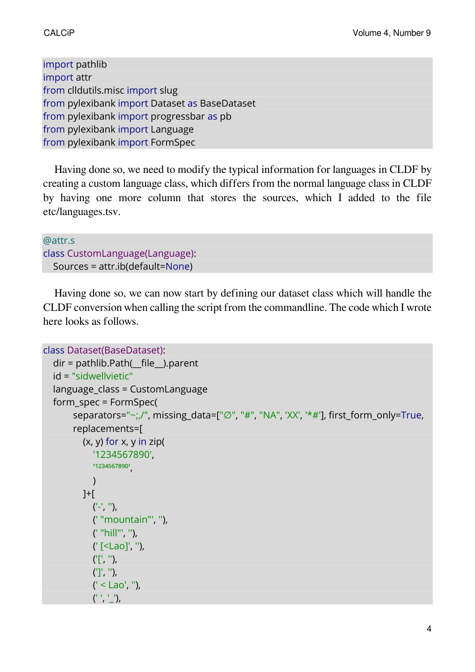import pathlib import attr from clldutils.misc import slug from pylexibank import Dataset as BaseDataset from pylexibank import progressbar as pb from pylexibank import Language from pylexibank import FormSpec

Having done so, we need to modify the typical information for languages in CLDF by creating a custom language class, which differs from the normal language class in CLDF by having one more column that stores the sources, which I added to the file etc/languages.tsv.

```
@attr.s
class CustomLanguage(Language):
  Sources = attr.ib(default=None)
```
Having done so, we can now start by defining our dataset class which will handle the CLDF conversion when calling the script from the commandline. The code which I wrote here looks as follows.

```
class Dataset(BaseDataset):
  dir = pathlib.Path(__file__).parent
  id = "sidwellvietic"
  language_class = CustomLanguage
  form_spec = FormSpec(
       separators="~;,/", missing data=["∅", "#", "NA", 'XX', '*#'], first_form_only=True,
       replacements=[
          (x, y) for x, y in zip(
             '1234567890',
            '1234567890'
            )
          ]+[
            ('-','''),
            (' "mountain"', ''),
            (' "hill"', ''),
             (' [<Lao]', ''),
            ('[', ''),
             (']', ''),
             (' < Lao', ''),
             (^{1}, ^{1}, ^{1}),
```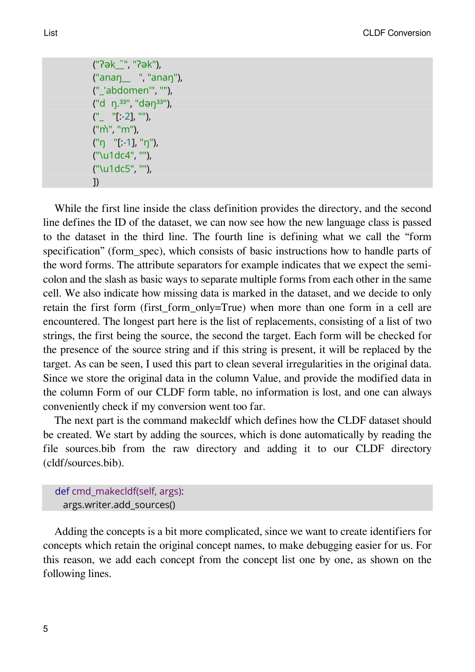("ʔək\_\_̄", "ʔək"), ("anaŋ\_\_ ", "anaŋ"), ("\_'abdomen'", ""), ("d ŋ.³³", "dəŋ³³"),  $(" "[-2], "'),$ ("m̀", "m"), ("ŋ "[:-1], "ŋ"), ("\u1dc4", ""), ("\u1dc5", ""), ])

While the first line inside the class definition provides the directory, and the second line defines the ID of the dataset, we can now see how the new language class is passed to the dataset in the third line. The fourth line is defining what we call the "form specification" (form spec), which consists of basic instructions how to handle parts of the word forms. The attribute separators for example indicates that we expect the semicolon and the slash as basic ways to separate multiple forms from each other in the same cell. We also indicate how missing data is marked in the dataset, and we decide to only retain the first form (first\_form\_only=True) when more than one form in a cell are encountered. The longest part here is the list of replacements, consisting of a list of two strings, the first being the source, the second the target. Each form will be checked for the presence of the source string and if this string is present, it will be replaced by the target. As can be seen, I used this part to clean several irregularities in the original data. Since we store the original data in the column Value, and provide the modified data in the column Form of our CLDF form table, no information is lost, and one can always conveniently check if my conversion went too far.

The next part is the command makecldf which defines how the CLDF dataset should be created. We start by adding the sources, which is done automatically by reading the file sources.bib from the raw directory and adding it to our CLDF directory (cldf/sources.bib).

def cmd\_makecldf(self, args): args.writer.add\_sources()

Adding the concepts is a bit more complicated, since we want to create identifiers for concepts which retain the original concept names, to make debugging easier for us. For this reason, we add each concept from the concept list one by one, as shown on the following lines.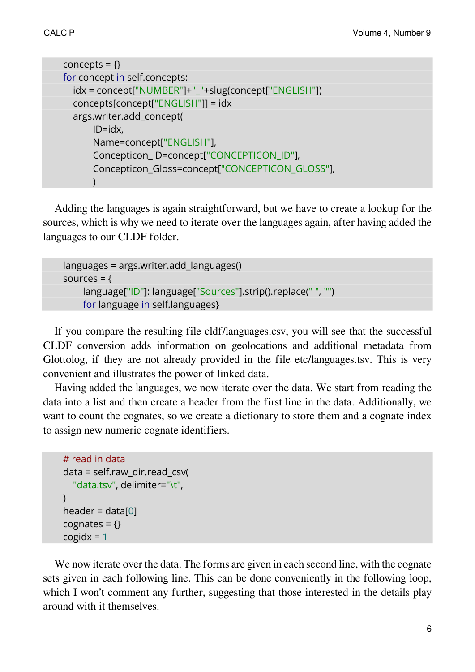```
concepts = \{\}for concept in self.concepts:
  idx = concept["NUMBER"]+"_"+slug(concept["ENGLISH"])
  concepts[concept["ENGLISH"]] = idx
  args.writer.add_concept(
      ID=idx,
      Name=concept["ENGLISH"],
      Concepticon_ID=concept["CONCEPTICON_ID"],
      Concepticon_Gloss=concept["CONCEPTICON_GLOSS"],
      \lambda
```
Adding the languages is again straightforward, but we have to create a lookup for the sources, which is why we need to iterate over the languages again, after having added the languages to our CLDF folder.

```
languages = args.writer.add_languages()
sources = {
    language["ID"]: language["Sources"].strip().replace(" ", "")
    for language in self.languages}
```
If you compare the resulting file [cldf/languages.csv](https://github.com/lexibank/sidwellvietic/blob/main/cldf/languages.csv), you will see that the successful CLDF conversion adds information on geolocations and additional metadata from Glottolog, if they are not already provided in the file etc/languages.tsv. This is very convenient and illustrates the power of linked data.

Having added the languages, we now iterate over the data. We start from reading the data into a list and then create a header from the first line in the data. Additionally, we want to count the cognates, so we create a dictionary to store them and a cognate index to assign new numeric cognate identifiers.

```
# read in data
data = self.raw_dir.read_csv(
  "data.tsv", delimiter="\t",
\lambdaheader = data[0]cognates = \{\}cogidx = 1
```
We now iterate over the data. The forms are given in each second line, with the cognate sets given in each following line. This can be done conveniently in the following loop, which I won't comment any further, suggesting that those interested in the details play around with it themselves.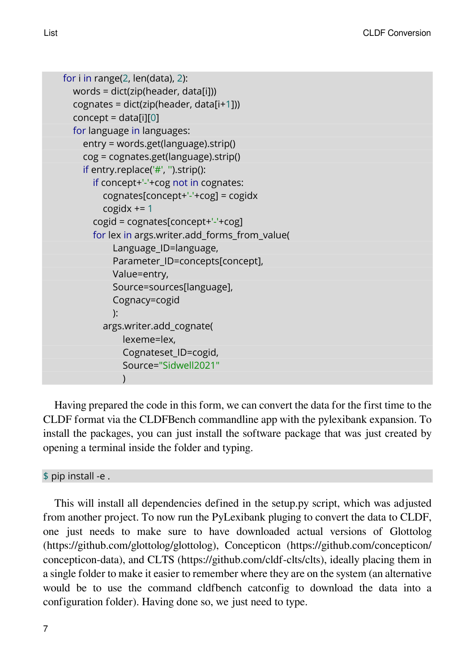```
for i in range(2, len(data), 2):
  words = dict(zip(header, data[i]))
  cognates = dict(zip(header, data[i+1]))
  concept = data[i][0]for language in languages:
    entry = words.get(language).strip()
    cog = cognates.get(language).strip()
    if entry.replace('#', '').strip():
      if concept+'-'+cog not in cognates:
         cognates[concept+'-'+cog] = cogidx
         cogidx == 1cogid = cognates[concept+'-'+cog]
      for lex in args.writer.add forms from value(
           Language_ID=language,
           Parameter_ID=concepts[concept],
           Value=entry,
           Source=sources[language],
           Cognacy=cogid
           ):
         args.writer.add_cognate(
             lexeme=lex,
             Cognateset_ID=cogid,
             Source="Sidwell2021"
             )
```
Having prepared the code in this form, we can convert the data for the first time to the CLDF format via the CLDFBench commandline app with the pylexibank expansion. To install the packages, you can just install the software package that was just created by opening a terminal inside the folder and typing.

\$ pip install -e .

This will install all dependencies defined in the setup.py script, which was adjusted from another project. To now run the PyLexibank pluging to convert the data to CLDF, one just needs to make sure to have downloaded actual versions of Glottolog (<https://github.com/glottolog/glottolog>), Concepticon [\(https://github.com/concepticon/](https://github.com/concepticon/concepticon-data) [concepticon-data](https://github.com/concepticon/concepticon-data)), and CLTS [\(https://github.com/cldf-clts/clts\)](https://github.com/cldf-clts/clts), ideally placing them in a single folder to make it easier to remember where they are on the system (an alternative would be to use the command cldfbench catconfig to download the data into a configuration folder). Having done so, we just need to type.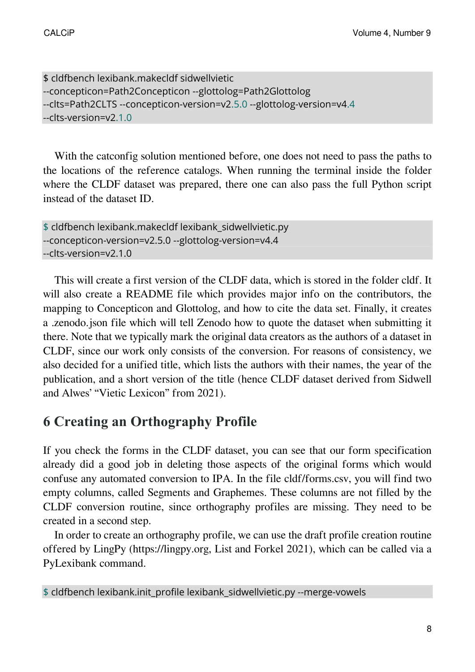```
$ cldfbench lexibank.makecldf sidwellvietic
--concepticon=Path2Concepticon --glottolog=Path2Glottolog
--clts=Path2CLTS --concepticon-version=v2.5.0 --glottolog-version=v4.4
--clts-version=v2.1.0
```
With the catconfig solution mentioned before, one does not need to pass the paths to the locations of the reference catalogs. When running the terminal inside the folder where the CLDF dataset was prepared, there one can also pass the full Python script instead of the dataset ID.

```
$ cldfbench lexibank.makecldf lexibank_sidwellvietic.py
--concepticon-version=v2.5.0 --glottolog-version=v4.4
--clts-version=v2.1.0
```
This will create a first version of the CLDF data, which is stored in the folder cldf. It will also create a README file which provides major info on the contributors, the mapping to Concepticon and Glottolog, and how to cite the data set. Finally, it creates a .zenodo.json file which will tell Zenodo how to quote the dataset when submitting it there. Note that we typically mark the original data creators as the authors of a dataset in CLDF, since our work only consists of the conversion. For reasons of consistency, we also decided for a unified title, which lists the authors with their names, the year of the publication, and a short version of the title (hence CLDF dataset derived from Sidwell and Alwes' "Vietic Lexicon" from 2021).

# **6 Creating an Orthography Profile**

If you check the forms in the CLDF dataset, you can see that our form specification already did a good job in deleting those aspects of the original forms which would confuse any automated conversion to IPA. In the file [cldf/forms.csv](https://github.com/lexibank/sidwellvietic/blob/main/cldf/forms.csv), you will find two empty columns, called Segments and Graphemes. These columns are not filled by the CLDF conversion routine, since orthography profiles are missing. They need to be created in a second step.

In order to create an orthography profile, we can use the draft profile creation routine offered by LingPy (https://lingpy.org, [List and Forkel 2021](https://digling.org/evobib/?bibtex=LingPy)), which can be called via a PyLexibank command.

```
$ cldfbench lexibank.init_profile lexibank_sidwellvietic.py --merge-vowels
```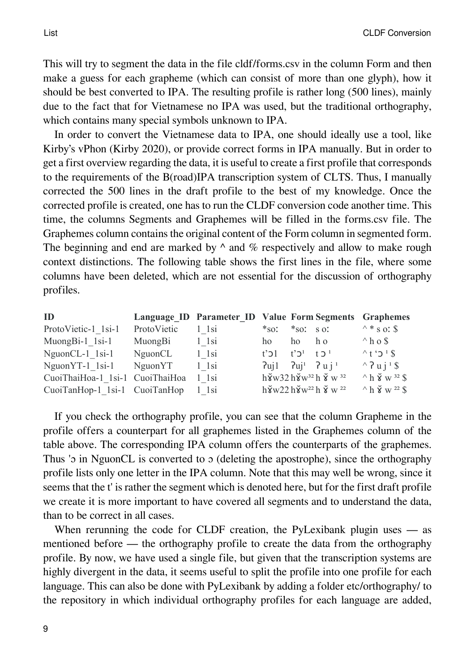List CLDF Conversion

This will try to segment the data in the file cldf/forms.csv in the column Form and then make a guess for each grapheme (which can consist of more than one glyph), how it should be best converted to IPA. The resulting profile is rather long (500 lines), mainly due to the fact that for Vietnamese no IPA was used, but the traditional orthography, which contains many special symbols unknown to IPA.

In order to convert the Vietnamese data to IPA, one should ideally use a tool, like Kirby's [vPhon](https://github.com/kirbyj/vPhon)([Kirby 2020](https://digling.org/evobib/?bibtex=vPhon)), or provide correct forms in IPA manually. But in order to get a first overview regarding the data, it is useful to create a first profile that corresponds to the requirements of the B(road)IPA transcription system of CLTS. Thus, I manually corrected the 500 lines in the draft profile to the best of my knowledge. Once the corrected profile is created, one has to run the CLDF conversion code another time. This time, the columns Segments and Graphemes will be filled in the forms.csv file. The Graphemes column contains the original content of the Form column in segmented form. The beginning and end are marked by  $\land$  and  $\%$  respectively and allow to make rough context distinctions. The following table shows the first lines in the file, where some columns have been deleted, which are not essential for the discussion of orthography profiles.

| ID                                  |             | Language ID Parameter ID Value Form Segments Graphemes |                                                  |                                     |                                                                                                       |                                                       |
|-------------------------------------|-------------|--------------------------------------------------------|--------------------------------------------------|-------------------------------------|-------------------------------------------------------------------------------------------------------|-------------------------------------------------------|
| ProtoVietic-1 1si-1                 | ProtoVietic | $1$ 1si                                                | $*so:$ $*so:$ s of                               |                                     |                                                                                                       | $^{\wedge}$ * s or \$                                 |
| $MuongBi-1$ 1si-1                   | MuongBi     | $1$ 1si                                                | ho                                               | ho                                  | h <sub>0</sub>                                                                                        | $^{\wedge}$ h o \$                                    |
| $NguonCL-1$ 1si-1                   | NguonCL     | $1$ 1si                                                | $t'$ כ                                           | $t^3$ <sup>1</sup> $t$ <sup>1</sup> |                                                                                                       | $\wedge$ t 's $\sqrt{3}$ 's                           |
| $NguonYT-1$ 1si-1                   | NguonYT     | $1$ 1si                                                | $2$ uj1 $2$ uj <sup>1</sup> $2$ u j <sup>1</sup> |                                     |                                                                                                       | $\wedge$ ? u j <sup>1</sup> \$                        |
| CuoiThaiHoa-1 1si-1 CuoiThaiHoa     |             | 1 1 si                                                 |                                                  |                                     | $h\breve{\mathbf{y}}$ w32 $h\breve{\mathbf{y}}$ w <sup>32</sup> $h\breve{\mathbf{y}}$ w <sup>32</sup> | $^{\wedge}$ h $\check{\mathsf{x}}$ w <sup>32</sup> \$ |
| CuoiTanHop-1 1si-1 CuoiTanHop 1 1si |             |                                                        |                                                  |                                     | $h\breve{\mathbf{y}}$ w22 $h\breve{\mathbf{y}}$ w <sup>22</sup> $h\breve{\mathbf{y}}$ w <sup>22</sup> | $\wedge$ h $\check{\mathsf{x}}$ w <sup>22</sup> \$    |

If you check the [orthography profile](https://github.com/lexibank/sidwellvietic/blob/main/etc/orthography.tsv), you can see that the column Grapheme in the profile offers a counterpart for all graphemes listed in the Graphemes column of the table above. The corresponding IPA column offers the counterparts of the graphemes. Thus '<sub>2</sub> in NguonCL is converted to  $\sigma$  (deleting the apostrophe), since the orthography profile lists only one letter in the IPA column. Note that this may well be wrong, since it seems that the t' is rather the segment which is denoted here, but for the first draft profile we create it is more important to have covered all segments and to understand the data, than to be correct in all cases.

When rerunning the code for CLDF creation, the PyLexibank plugin uses — as mentioned before — the orthography profile to create the data from the orthography profile. By now, we have used a single file, but given that the transcription systems are highly divergent in the data, it seems useful to split the profile into one profile for each language. This can also be done with PyLexibank by adding a folder etc/orthography/ to the repository in which individual orthography profiles for each language are added,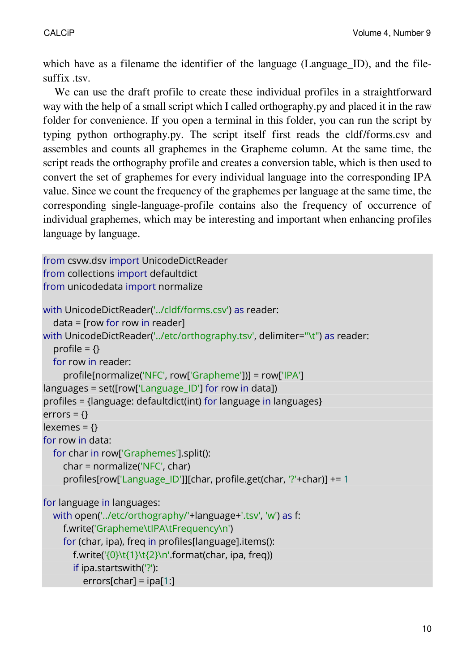which have as a filename the identifier of the language (Language ID), and the filesuffix .tsv.

We can use the draft profile to create these individual profiles in a straightforward way with the help of a small script which I called [orthography.py](https://github.com/lexibank/sidwellvietic/blob/main/raw/orthography.py) and placed it in the raw folder for convenience. If you open a terminal in this folder, you can run the script by typing python orthography.py. The script itself first reads the cldf/forms.csv and assembles and counts all graphemes in the Grapheme column. At the same time, the script reads the orthography profile and creates a conversion table, which is then used to convert the set of graphemes for every individual language into the corresponding IPA value. Since we count the frequency of the graphemes per language at the same time, the corresponding single-language-profile contains also the frequency of occurrence of individual graphemes, which may be interesting and important when enhancing profiles language by language.

```
from csvw.dsv import UnicodeDictReader
from collections import defaultdict
from unicodedata import normalize
with UnicodeDictReader('../cldf/forms.csv') as reader:
  data = [row for row in reader]
with UnicodeDictReader('../etc/orthography.tsv', delimiter="\t") as reader:
  profile = \{\}for row in reader:
    profile[normalize('NFC', row['Grapheme'])] = row['IPA']
languages = set([row['Language~ID'] for row in data])profiles = {language: defaultdict(int) for language in languages}
errors = \{\}lexemes = \{ \}for row in data:
  for char in row['Graphemes'].split():
    char = normalize('NFC', char)
    profiles[row['Language_ID']][char, profile.get(char, '?'+char)] += 1
for language in languages:
  with open('../etc/orthography/'+language+'.tsv', 'w') as f:
    f.write('Grapheme\tIPA\tFrequency\n')
    for (char, ipa), freq in profiles[language].items():
       f.write('{0}\t{1}\t{2}\n'.format(char, ipa, freq))
       if ipa.startswith('?'):
         errors[char] = ipa[1:]
```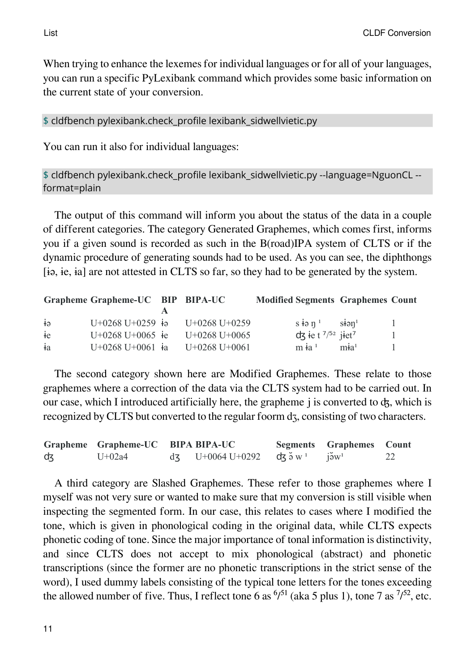When trying to enhance the lexemes for individual languages or for all of your languages, you can run a specific PyLexibank command which provides some basic information on the current state of your conversion.

\$ cldfbench pylexibank.check\_profile lexibank\_sidwellvietic.py

You can run it also for individual languages:

\$ cldfbench pylexibank.check\_profile lexibank\_sidwellvietic.py --language=NguonCL - format=plain

The output of this command will inform you about the status of the data in a couple of different categories. The category Generated Graphemes, which comes first, informs you if a given sound is recorded as such in the B(road)IPA system of CLTS or if the dynamic procedure of generating sounds had to be used. As you can see, the diphthongs [ɨə, ɨe, ɨa] are not attested in CLTS so far, so they had to be generated by the system.

|             | Grapheme Grapheme-UC BIP BIPA-UC |                                    | <b>Modified Segments Graphemes Count</b>   |                               |  |
|-------------|----------------------------------|------------------------------------|--------------------------------------------|-------------------------------|--|
|             |                                  |                                    |                                            |                               |  |
| $\dot{+}$ ə |                                  | $U+0268 U+0259$ is $U+0268 U+0259$ | $s \nleftrightarrow n^1$ sion <sup>1</sup> |                               |  |
| $\dot{+}e$  | $U+0268 U+0065$ ie               | $U+0268 U+0065$                    | $dx$ ie t $^{7/52}$ jiet <sup>7</sup>      |                               |  |
| $\dot{a}$   | $U+0268 U+0061$ ia               | U+0268 U+0061                      | $m \dot{+} a^1$                            | m <sup>1</sup> a <sup>1</sup> |  |

The second category shown here are Modified Graphemes. These relate to those graphemes where a correction of the data via the CLTS system had to be carried out. In our case, which I introduced artificially here, the grapheme j is converted to ʤ, which is recognized by CLTS but converted to the regular foorm dz, consisting of two characters.

|    | Grapheme Grapheme-UC BIPA BIPA-UC |                                                                                 | Segments Graphemes Count |  |
|----|-----------------------------------|---------------------------------------------------------------------------------|--------------------------|--|
| dz | $U+02a4$                          | $d\zeta$ U+0064 U+0292 $d\zeta$ $\eth$ ov $\chi$ <sup>1</sup> is v <sup>1</sup> |                          |  |

A third category are Slashed Graphemes. These refer to those graphemes where I myself was not very sure or wanted to make sure that my conversion is still visible when inspecting the segmented form. In our case, this relates to cases where I modified the tone, which is given in phonological coding in the original data, while CLTS expects phonetic coding of tone. Since the major importance of tonal information is distinctivity, and since CLTS does not accept to mix phonological (abstract) and phonetic transcriptions (since the former are no phonetic transcriptions in the strict sense of the word), I used dummy labels consisting of the typical tone letters for the tones exceeding the allowed number of five. Thus, I reflect tone 6 as  $\frac{6}{51}$  (aka 5 plus 1), tone 7 as  $\frac{7}{52}$ , etc.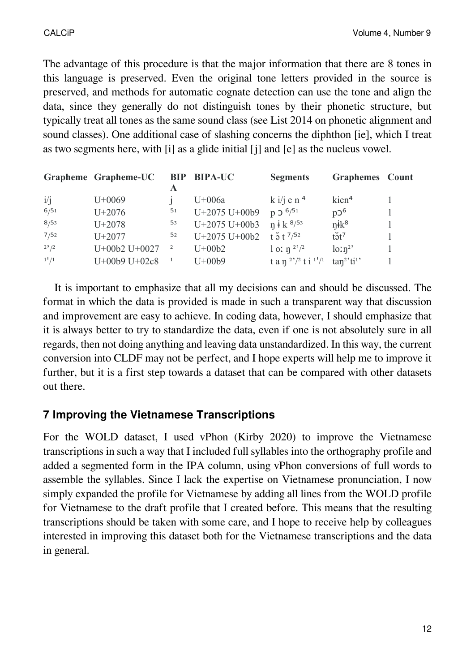The advantage of this procedure is that the major information that there are 8 tones in this language is preserved. Even the original tone letters provided in the source is preserved, and methods for automatic cognate detection can use the tone and align the data, since they generally do not distinguish tones by their phonetic structure, but typically treat all tones as the same sound class (see [List 2014](https://digling.org/evobib/?bibtex=List2014d) on phonetic alignment and sound classes). One additional case of slashing concerns the diphthon [ie], which I treat as two segments here, with [i] as a glide initial [j] and [e] as the nucleus vowel.

|           | Grapheme Grapheme-UC |                          | <b>BIP BIPA-UC</b> | <b>Segments</b>                            | <b>Graphemes</b> Count              |  |
|-----------|----------------------|--------------------------|--------------------|--------------------------------------------|-------------------------------------|--|
| i/j       | $U+0069$             |                          | $U+006a$           | $k \frac{i}{j}$ e n <sup>4</sup>           | kien <sup>4</sup>                   |  |
| 6/51      | $U + 2076$           | 51                       | U+2075 U+00b9      | $p $ 0 $^{6/51}$                           | p2 <sup>6</sup>                     |  |
| 8/53      | $U + 2078$           | 53                       | U+2075 U+00b3      | $n \cdot k^{8/53}$                         | $\eta$ ik <sup>8</sup>              |  |
| 7/52      | $U + 2077$           | 52                       | U+2075 U+00b2      | $t \frac{5}{9} t^{7/52}$                   | $t\tilde{\partial}t^7$              |  |
| $2^{2}/2$ | $U+00b2 U+0027$      | $\overline{\phantom{a}}$ | $U+00b2$           | l o: $\eta^{2^2/2}$                        | $\ln^{2}$                           |  |
| $1^{1}/1$ | U+00b9 U+02c8        |                          | $U+00b9$           | t a n $\binom{2^2}{2}$ t i $\binom{11}{1}$ | tan <sup>2</sup> 'ti <sup>1</sup> ' |  |

It is important to emphasize that all my decisions can and should be discussed. The format in which the data is provided is made in such a transparent way that discussion and improvement are easy to achieve. In coding data, however, I should emphasize that it is always better to try to standardize the data, even if one is not absolutely sure in all regards, then not doing anything and leaving data unstandardized. In this way, the current conversion into CLDF may not be perfect, and I hope experts will help me to improve it further, but it is a first step towards a dataset that can be compared with other datasets out there.

### **7 Improving the Vietnamese Transcriptions**

For the [WOLD](https://github.com/lexibank/wold) dataset, I used vPhon (Kirby 2020) to improve the Vietnamese transcriptions in such a way that I included full syllables into the orthography profile and added a segmented form in the IPA column, using vPhon conversions of full words to assemble the syllables. Since I lack the expertise on Vietnamese pronunciation, I now simply expanded the profile for Vietnamese by adding all lines from the WOLD profile for Vietnamese to the draft profile that I created before. This means that the resulting transcriptions should be taken with some care, and I hope to receive help by colleagues interested in improving this dataset both for the Vietnamese transcriptions and the data in general.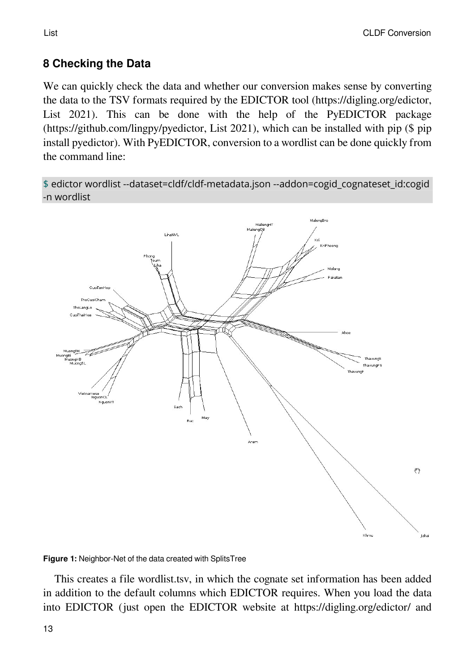### **8 Checking the Data**

We can quickly check the data and whether our conversion makes sense by converting the data to the TSV formats required by the EDICTOR tool (https://digling.org/edictor, [List 2021\)](https://digling.org/evobib/?bibtex=EDICTOR). This can be done with the help of the PyEDICTOR package (https://github.com/lingpy/pyedictor, [List 2021\)](https://digling.org/evobib/?bibtex=PyEDICTOR), which can be installed with pip (\$ pip install pyedictor). With PyEDICTOR, conversion to a wordlist can be done quickly from the command line:

\$ edictor wordlist --dataset=cldf/cldf-metadata.json --addon=cogid\_cognateset\_id:cogid -n wordlist



**Figure 1:** Neighbor-Net of the data created with SplitsTree

This creates a file wordlist.tsv, in which the cognate set information has been added in addition to the default columns which EDICTOR requires. When you load the data into EDICTOR (just open the EDICTOR website at https://digling.org/edictor/ and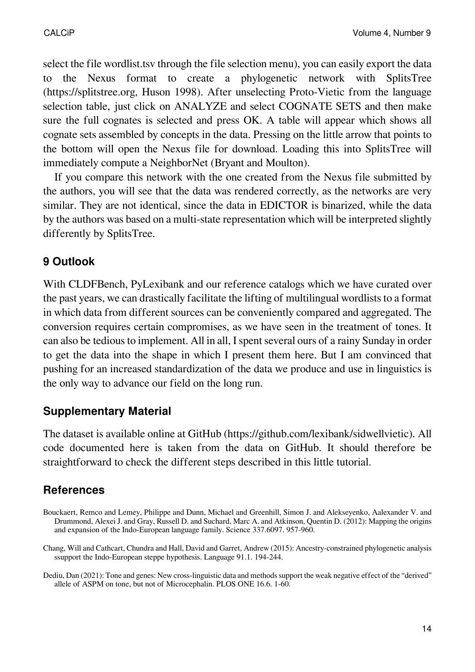select the file wordlist.tsv through the file selection menu), you can easily export the data to the Nexus format to create a phylogenetic network with SplitsTree (https://splitstree.org, [Huson 1998\)](https://digling.org/evobib/?bibtex=Huson1998). After unselecting Proto-Vietic from the language selection table, just click on ANALYZE and select COGNATE SETS and then make sure the full cognates is selected and press OK. A table will appear which shows all cognate sets assembled by concepts in the data. Pressing on the little arrow that points to the bottom will open the Nexus file for download. Loading this into SplitsTree will immediately compute a NeighborNet [\(Bryant and Moulton](https://digling.org/evobib/?bibtex=Bryant2004)).

If you compare this network with the one created from the Nexus file submitted by the authors, you will see that the data was rendered correctly, as the networks are very similar. They are not identical, since the data in EDICTOR is binarized, while the data by the authors was based on a multi-state representation which will be interpreted slightly differently by SplitsTree.

### **9 Outlook**

With CLDFBench, PyLexibank and our reference catalogs which we have curated over the past years, we can drastically facilitate the lifting of multilingual wordlists to a format in which data from different sources can be conveniently compared and aggregated. The conversion requires certain compromises, as we have seen in the treatment of tones. It can also be tedious to implement. All in all, I spent several ours of a rainy Sunday in order to get the data into the shape in which I present them here. But I am convinced that pushing for an increased standardization of the data we produce and use in linguistics is the only way to advance our field on the long run.

### **Supplementary Material**

The dataset is available online at GitHub (https://github.com/lexibank/sidwellvietic). All code documented here is taken from the data on GitHub. It should therefore be straightforward to check the different steps described in this little tutorial.

## **References**

Dediu, Dan (2021): Tone and genes: New cross-linguistic data and methods support the weak negative effect of the "derived" allele of ASPM on tone, but not of Microcephalin. PLOS ONE 16.6. 1-60.

Bouckaert, Remco and Lemey, Philippe and Dunn, Michael and Greenhill, Simon J. and Alekseyenko, Aalexander V. and Drummond, Alexei J. and Gray, Russell D. and Suchard, Marc A. and Atkinson, Quentin D. (2012): Mapping the origins and expansion of the Indo-European language family. Science 337.6097. 957-960.

Chang, Will and Cathcart, Chundra and Hall, David and Garret, Andrew (2015): Ancestry-constrained phylogenetic analysis ssupport the Indo-European steppe hypothesis. Language 91.1. 194-244.